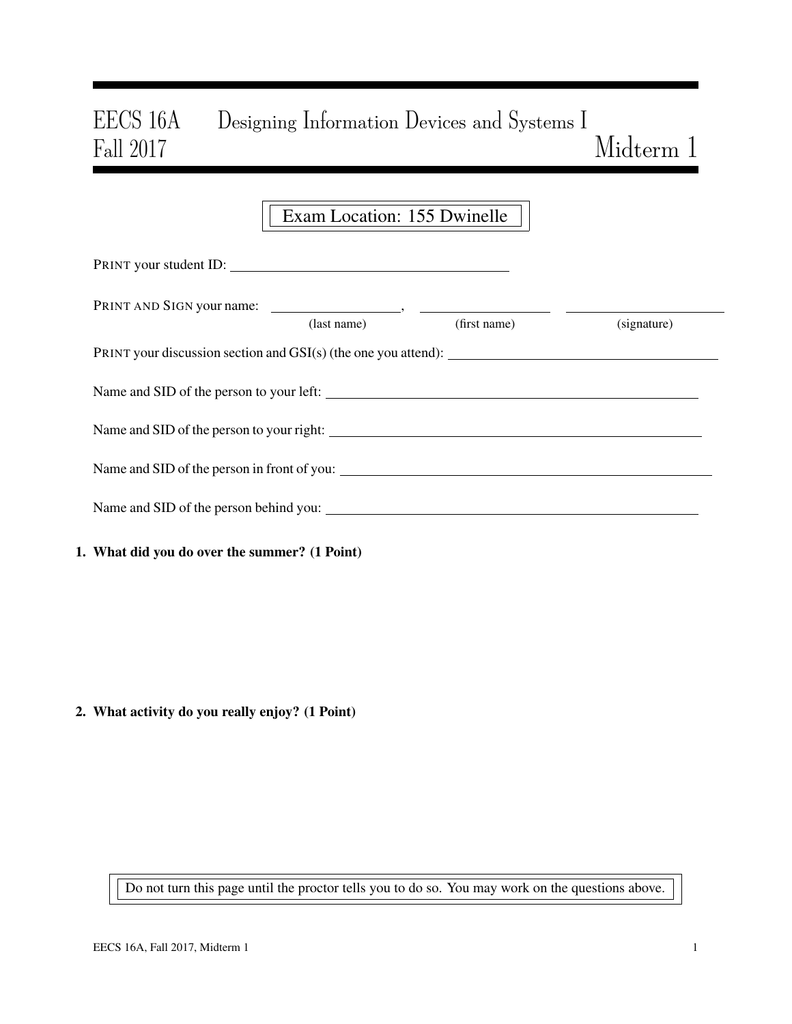# EECS 16A Designing Information Devices and Systems I Fall 2017  $Midterm 1$

## Exam Location: 155 Dwinelle

| PRINT your student ID:                        |             |              |             |  |  |  |  |  |
|-----------------------------------------------|-------------|--------------|-------------|--|--|--|--|--|
|                                               | (last name) | (first name) | (signature) |  |  |  |  |  |
|                                               |             |              |             |  |  |  |  |  |
|                                               |             |              |             |  |  |  |  |  |
| Name and SID of the person to your right:     |             |              |             |  |  |  |  |  |
| Name and SID of the person in front of you:   |             |              |             |  |  |  |  |  |
| Name and SID of the person behind you:        |             |              |             |  |  |  |  |  |
| 1. What did you do over the summer? (1 Point) |             |              |             |  |  |  |  |  |

2. What activity do you really enjoy? (1 Point)

Do not turn this page until the proctor tells you to do so. You may work on the questions above.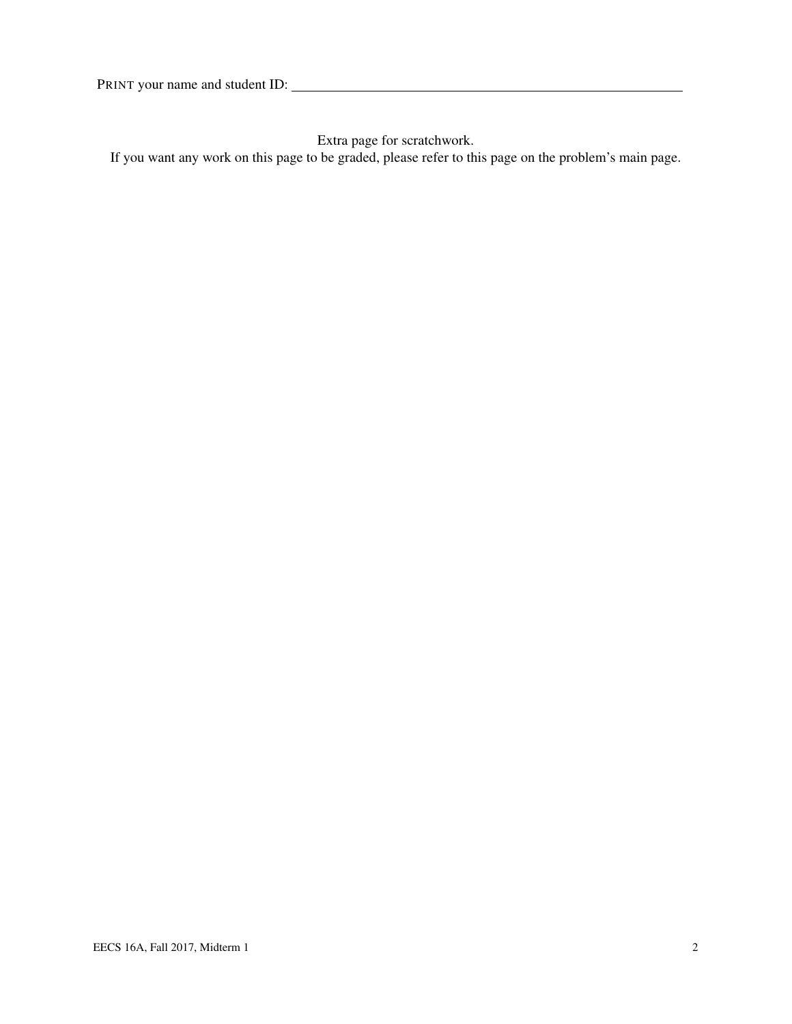Extra page for scratchwork.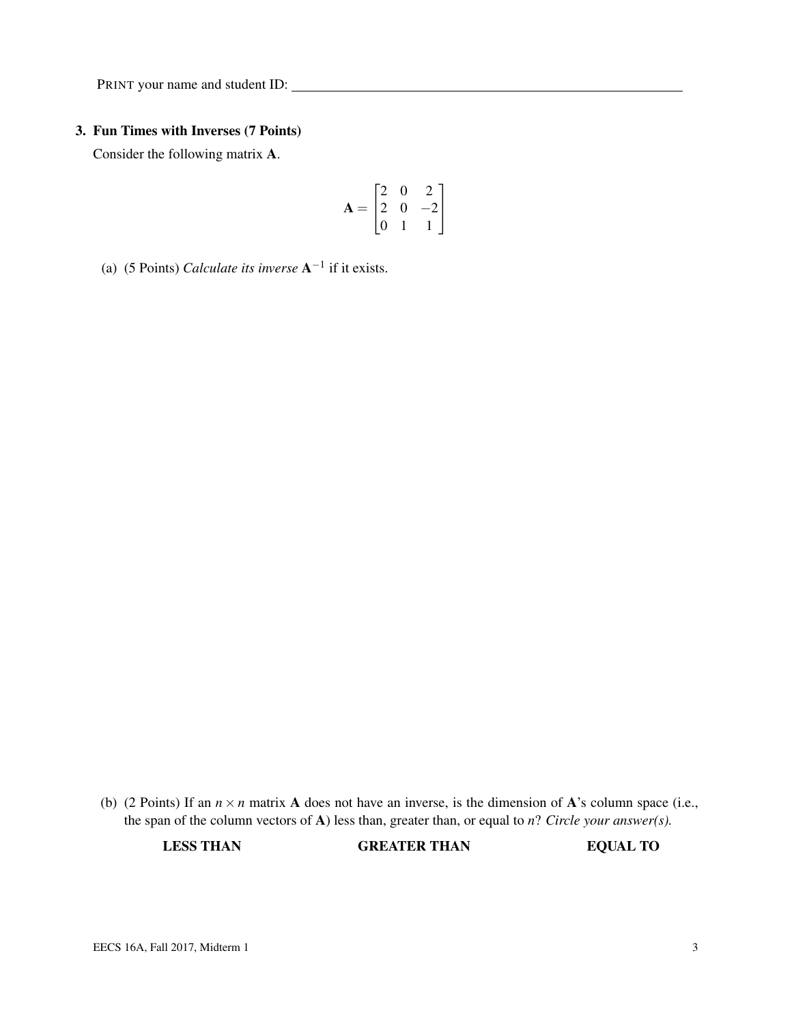#### 3. Fun Times with Inverses (7 Points)

Consider the following matrix A.

$$
\mathbf{A} = \begin{bmatrix} 2 & 0 & 2 \\ 2 & 0 & -2 \\ 0 & 1 & 1 \end{bmatrix}
$$

(a) (5 Points) *Calculate its inverse*  $A^{-1}$  if it exists.

(b) (2 Points) If an  $n \times n$  matrix A does not have an inverse, is the dimension of A's column space (i.e., the span of the column vectors of A) less than, greater than, or equal to *n*? *Circle your answer(s).*

LESS THAN GREATER THAN EQUAL TO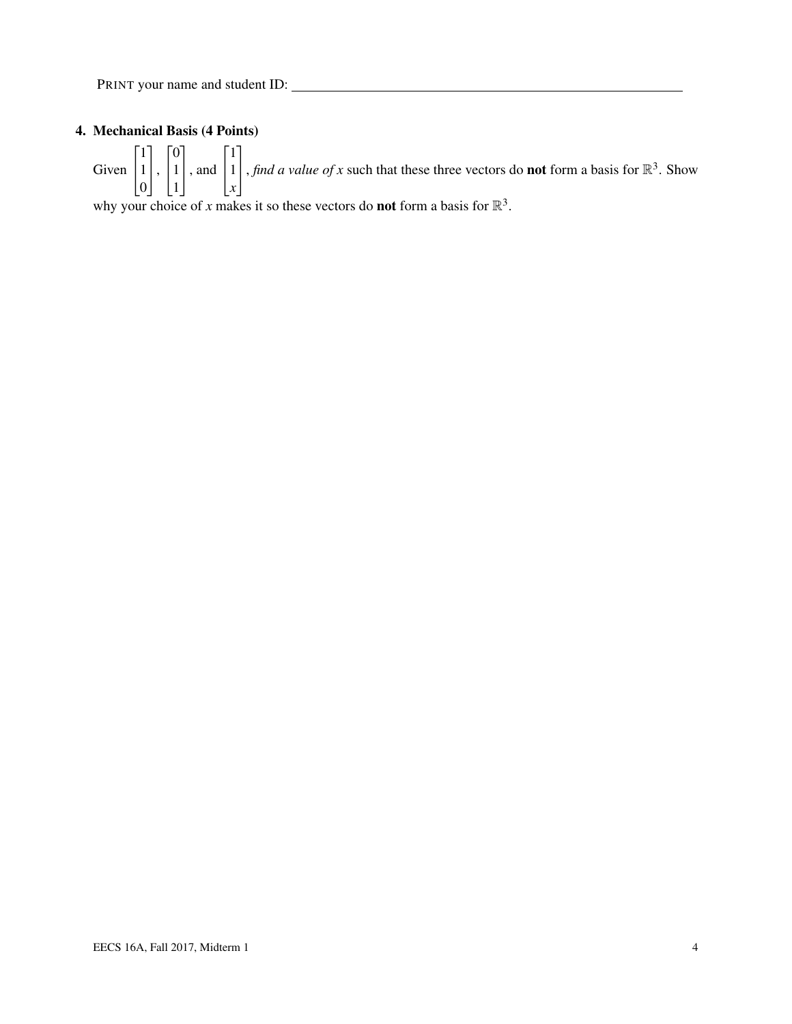### 4. Mechanical Basis (4 Points)

Given  $\sqrt{ }$  $\overline{1}$ 1 1 0 1  $\vert \cdot$  $\sqrt{ }$  $\overline{1}$  $\overline{0}$ 1 1 1 , and  $\sqrt{ }$  $\overline{1}$ 1 1 *x* 1 , *find a value of x* such that these three vectors do **not** form a basis for  $\mathbb{R}^3$ . Show

why your choice of *x* makes it so these vectors do **not** form a basis for  $\mathbb{R}^3$ .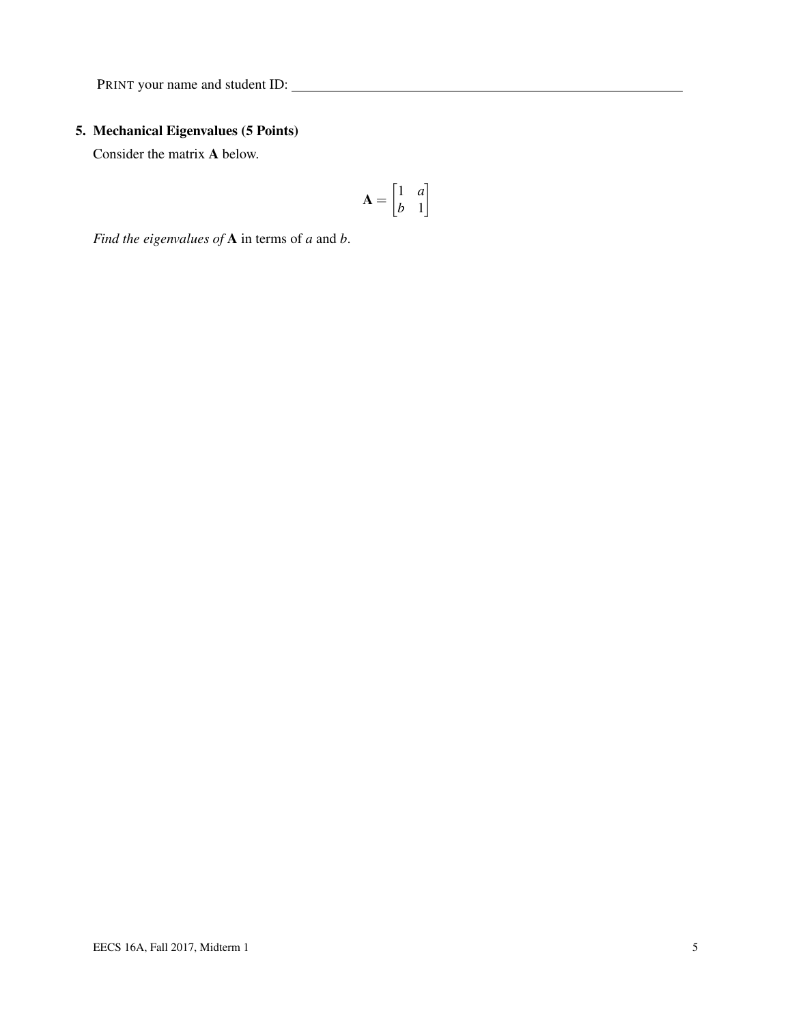### 5. Mechanical Eigenvalues (5 Points)

Consider the matrix A below.

$$
\mathbf{A} = \begin{bmatrix} 1 & a \\ b & 1 \end{bmatrix}
$$

*Find the eigenvalues of* A in terms of *a* and *b*.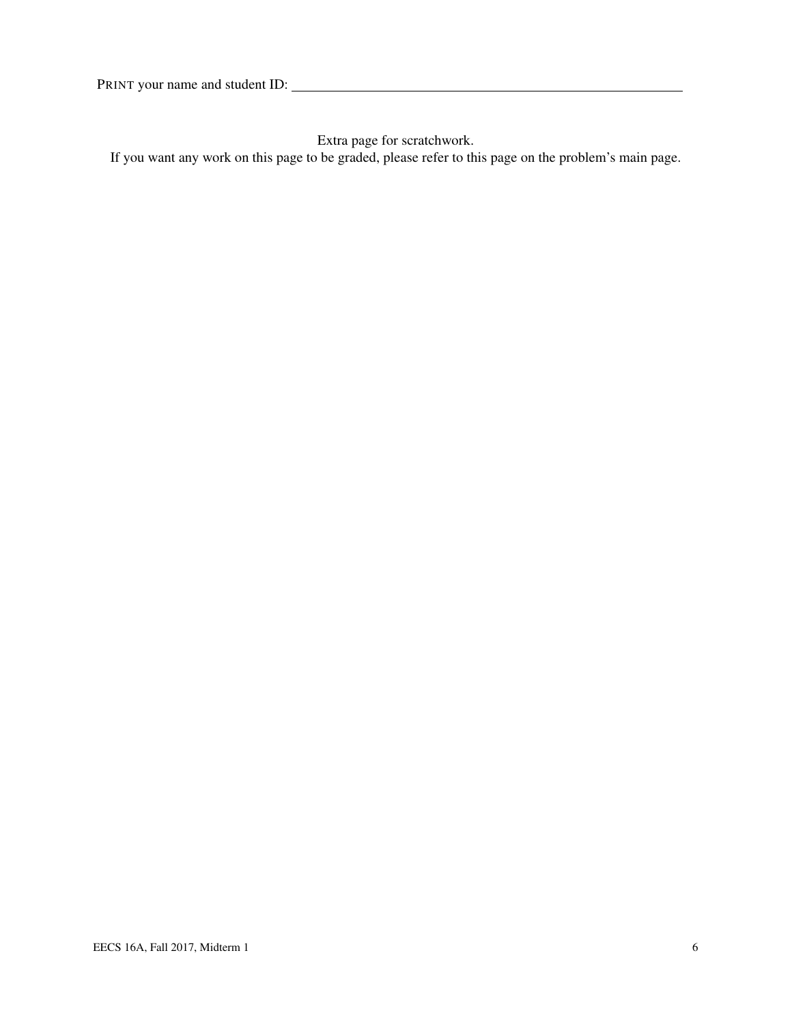Extra page for scratchwork.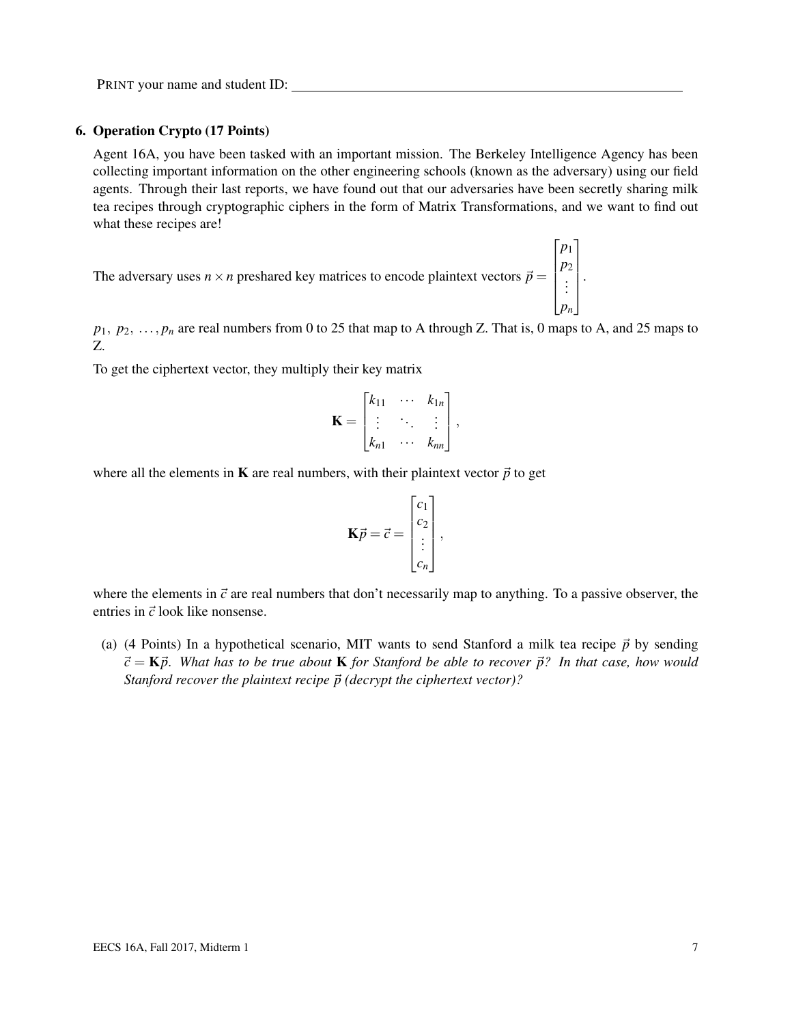#### 6. Operation Crypto (17 Points)

Agent 16A, you have been tasked with an important mission. The Berkeley Intelligence Agency has been collecting important information on the other engineering schools (known as the adversary) using our field agents. Through their last reports, we have found out that our adversaries have been secretly sharing milk tea recipes through cryptographic ciphers in the form of Matrix Transformations, and we want to find out what these recipes are!

The adversary uses  $n \times n$  preshared key matrices to encode plaintext vectors  $\vec{p} =$  $\sqrt{ }$  *p*1 *p*2 . . . *pn* 1  $\begin{array}{c} \begin{array}{c} \begin{array}{c} \end{array} \\ \begin{array}{c} \end{array} \end{array} \end{array}$ 

 $p_1, p_2, \ldots, p_n$  are real numbers from 0 to 25 that map to A through Z. That is, 0 maps to A, and 25 maps to Z.

.

To get the ciphertext vector, they multiply their key matrix

$$
\mathbf{K} = \begin{bmatrix} k_{11} & \cdots & k_{1n} \\ \vdots & \ddots & \vdots \\ k_{n1} & \cdots & k_{nn} \end{bmatrix},
$$

where all the elements in **K** are real numbers, with their plaintext vector  $\vec{p}$  to get

$$
\mathbf{K}\vec{p} = \vec{c} = \begin{bmatrix} c_1 \\ c_2 \\ \vdots \\ c_n \end{bmatrix},
$$

where the elements in  $\vec{c}$  are real numbers that don't necessarily map to anything. To a passive observer, the entries in  $\vec{c}$  look like nonsense.

(a) (4 Points) In a hypothetical scenario, MIT wants to send Stanford a milk tea recipe  $\vec{p}$  by sending  $\vec{c} = \vec{K} \vec{p}$ . What has to be true about **K** for Stanford be able to recover  $\vec{p}$ ? In that case, how would *Stanford recover the plaintext recipe*  $\vec{p}$  (decrypt the ciphertext vector)?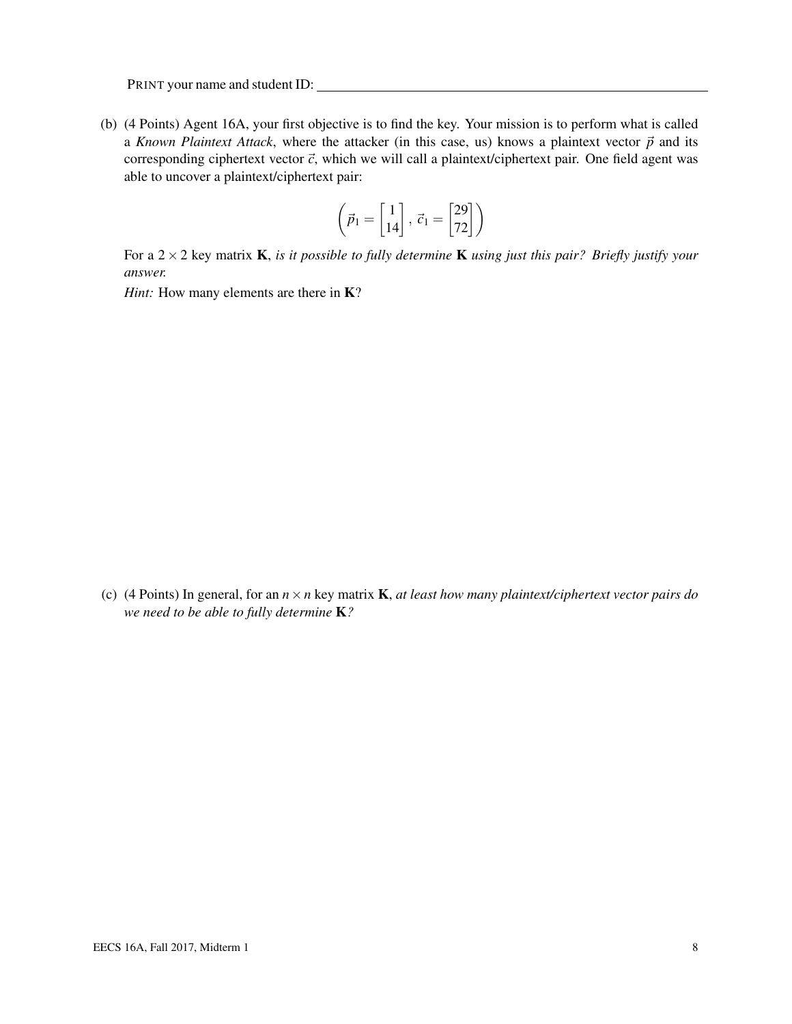(b) (4 Points) Agent 16A, your first objective is to find the key. Your mission is to perform what is called a *Known Plaintext Attack*, where the attacker (in this case, us) knows a plaintext vector  $\vec{p}$  and its corresponding ciphertext vector  $\vec{c}$ , which we will call a plaintext/ciphertext pair. One field agent was able to uncover a plaintext/ciphertext pair:

$$
\left(\vec{p}_1 = \begin{bmatrix} 1 \\ 14 \end{bmatrix}, \ \vec{c}_1 = \begin{bmatrix} 29 \\ 72 \end{bmatrix}\right)
$$

For a 2×2 key matrix K, *is it possible to fully determine* K *using just this pair? Briefly justify your answer.*

*Hint:* How many elements are there in **K**?

(c) (4 Points) In general, for an *n*×*n* key matrix K, *at least how many plaintext/ciphertext vector pairs do we need to be able to fully determine* K*?*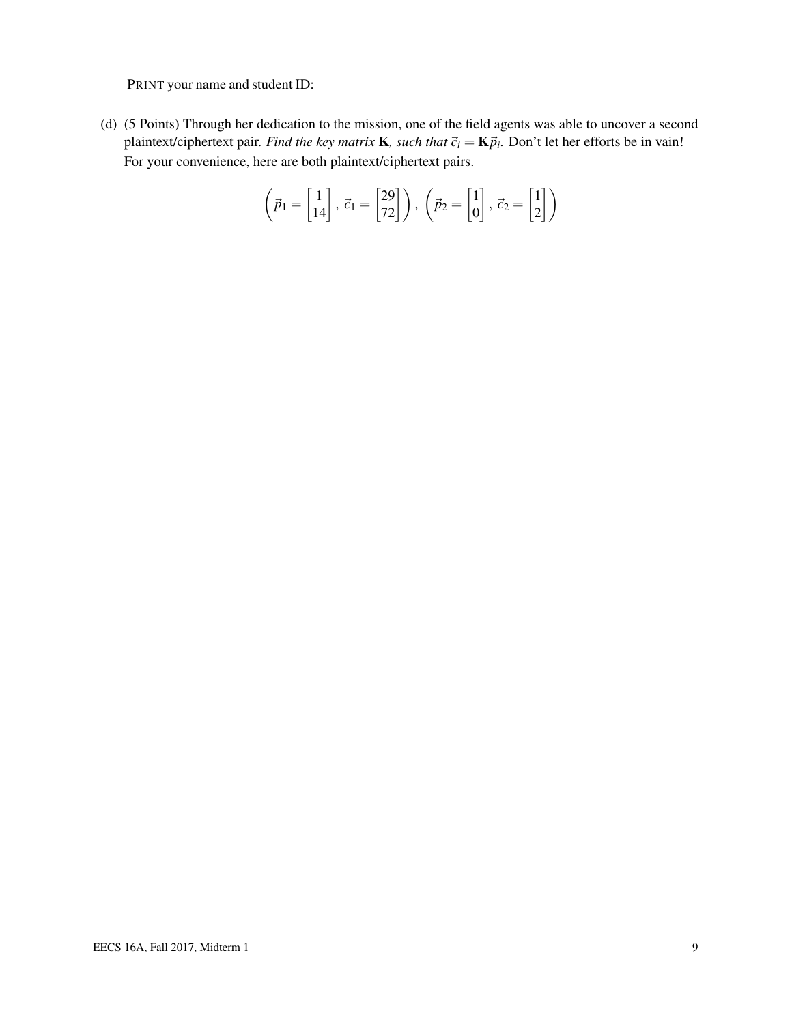(d) (5 Points) Through her dedication to the mission, one of the field agents was able to uncover a second plaintext/ciphertext pair. *Find the key matrix* **K**, such that  $\vec{c}_i = \mathbf{K} \vec{p}_i$ . Don't let her efforts be in vain! For your convenience, here are both plaintext/ciphertext pairs.

$$
\left(\vec{p}_1 = \begin{bmatrix} 1 \\ 14 \end{bmatrix}, \ \vec{c}_1 = \begin{bmatrix} 29 \\ 72 \end{bmatrix}\right), \ \left(\vec{p}_2 = \begin{bmatrix} 1 \\ 0 \end{bmatrix}, \ \vec{c}_2 = \begin{bmatrix} 1 \\ 2 \end{bmatrix}\right)
$$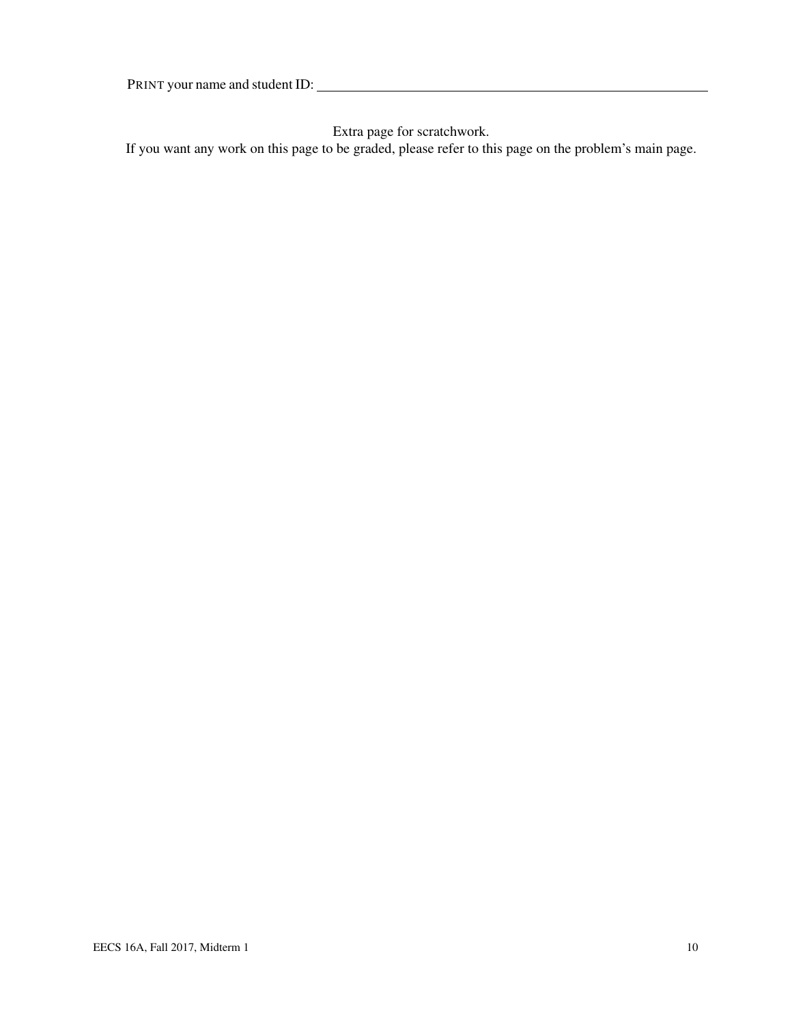Extra page for scratchwork.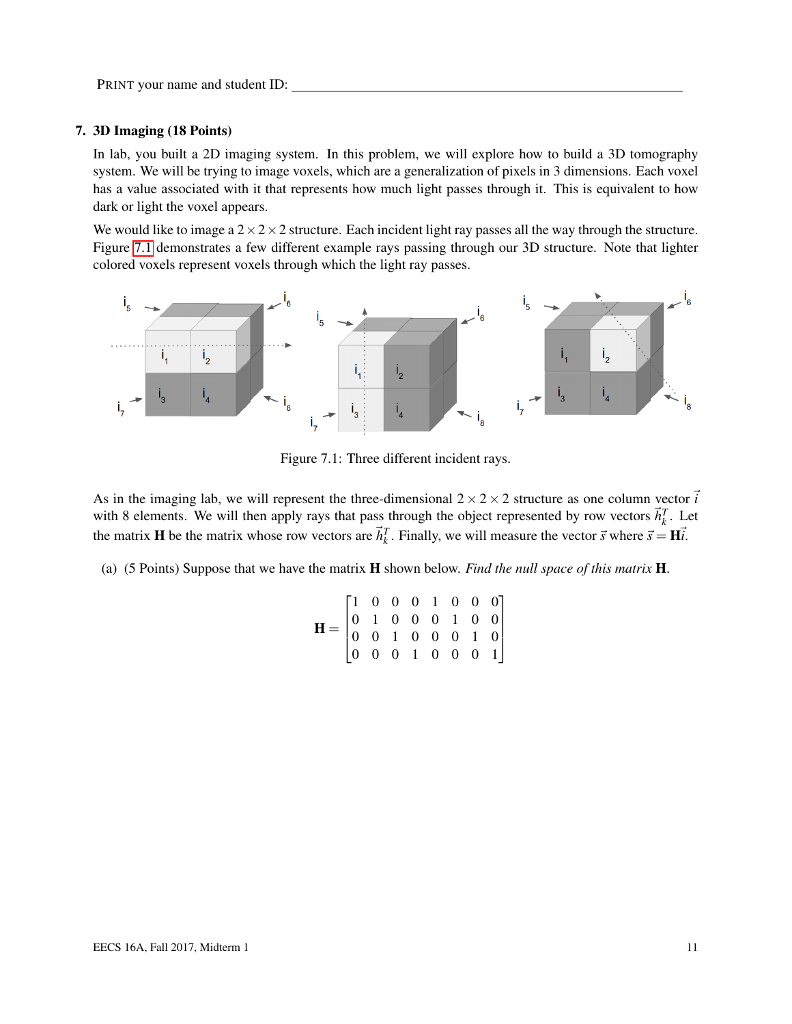#### 7. 3D Imaging (18 Points)

In lab, you built a 2D imaging system. In this problem, we will explore how to build a 3D tomography system. We will be trying to image voxels, which are a generalization of pixels in 3 dimensions. Each voxel has a value associated with it that represents how much light passes through it. This is equivalent to how dark or light the voxel appears.

We would like to image a  $2 \times 2 \times 2$  structure. Each incident light ray passes all the way through the structure. Figure [7.1](#page-10-0) demonstrates a few different example rays passing through our 3D structure. Note that lighter colored voxels represent voxels through which the light ray passes.

<span id="page-10-0"></span>

Figure 7.1: Three different incident rays.

As in the imaging lab, we will represent the three-dimensional  $2 \times 2 \times 2$  structure as one column vector  $\vec{i}$ with 8 elements. We will then apply rays that pass through the object represented by row vectors  $\vec{h}_k^T$ . Let which is clearly with the matrix whose row vectors are  $\vec{h}_k^T$ . Finally, we will measure the vector  $\vec{s}$  where  $\vec{s} = H\vec{i}$ .

<span id="page-10-1"></span>(a) (5 Points) Suppose that we have the matrix H shown below. *Find the null space of this matrix* H.

$$
\mathbf{H} = \begin{bmatrix} 1 & 0 & 0 & 0 & 1 & 0 & 0 & 0 \\ 0 & 1 & 0 & 0 & 0 & 1 & 0 & 0 \\ 0 & 0 & 1 & 0 & 0 & 0 & 1 & 0 \\ 0 & 0 & 0 & 1 & 0 & 0 & 0 & 1 \end{bmatrix}
$$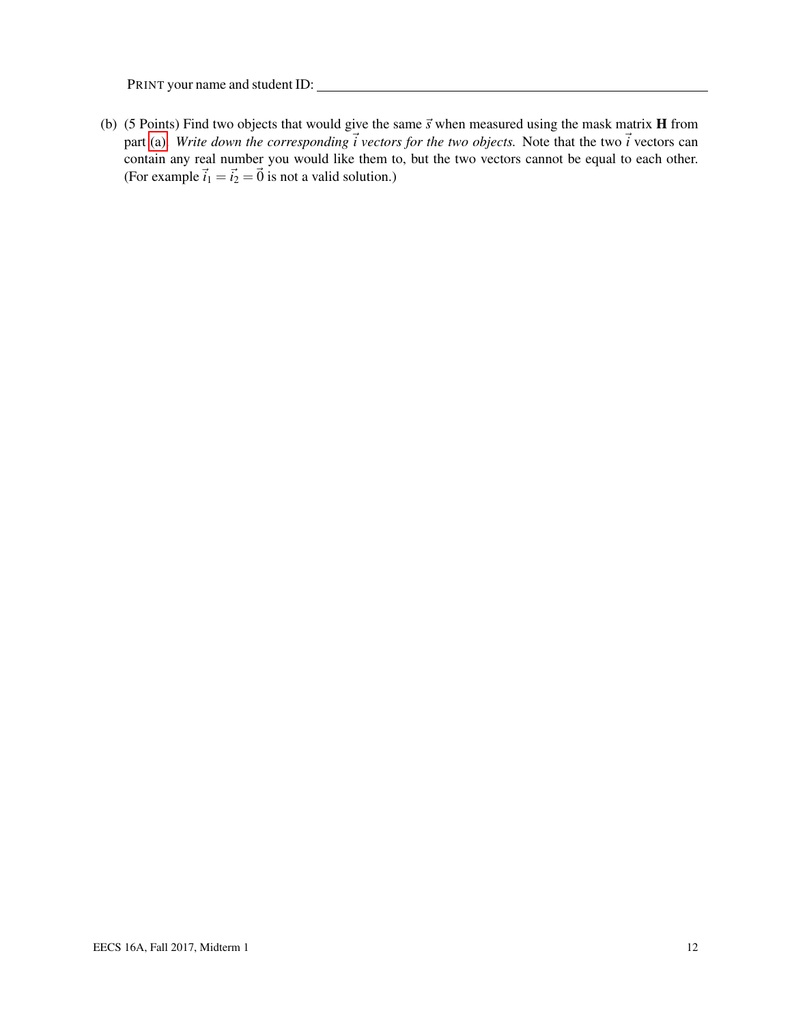(b) (5 Points) Find two objects that would give the same  $\vec{s}$  when measured using the mask matrix **H** from part [\(a\).](#page-10-1) Write down the corresponding  $\vec{i}$  vectors for the two objects. Note that the two  $\vec{i}$  vectors can contain any real number you would like them to, but the two vectors cannot be equal to each other. (For example  $\vec{i}_1 = \vec{i}_2 = \vec{0}$  is not a valid solution.)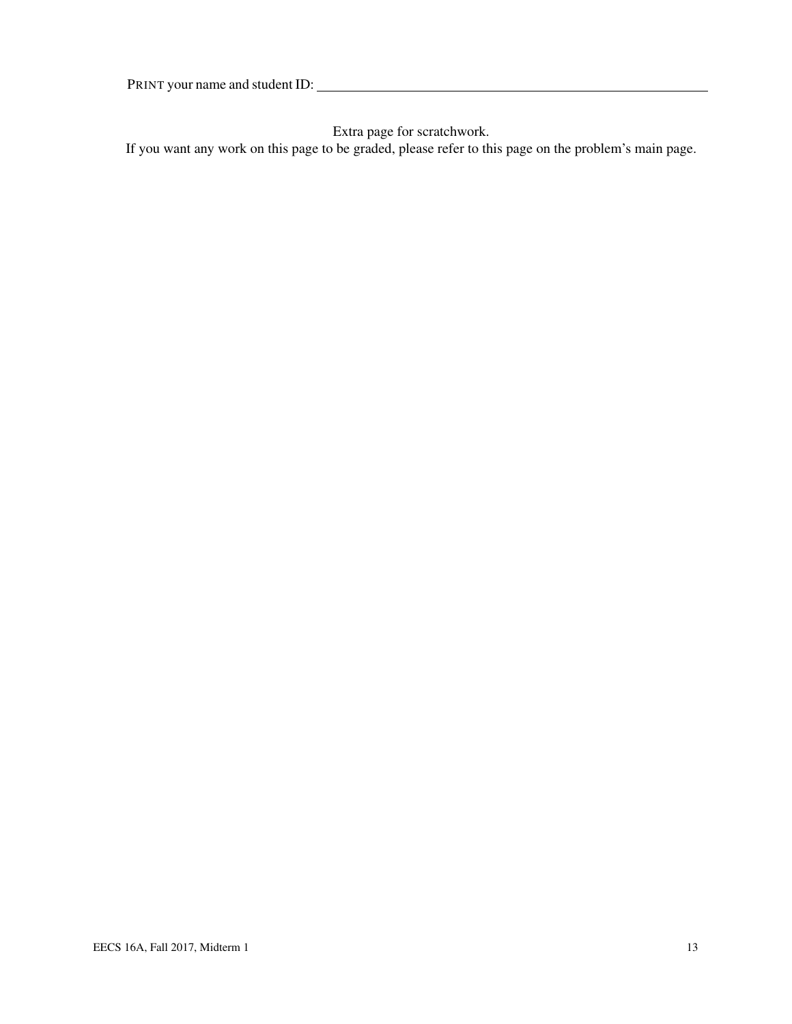Extra page for scratchwork.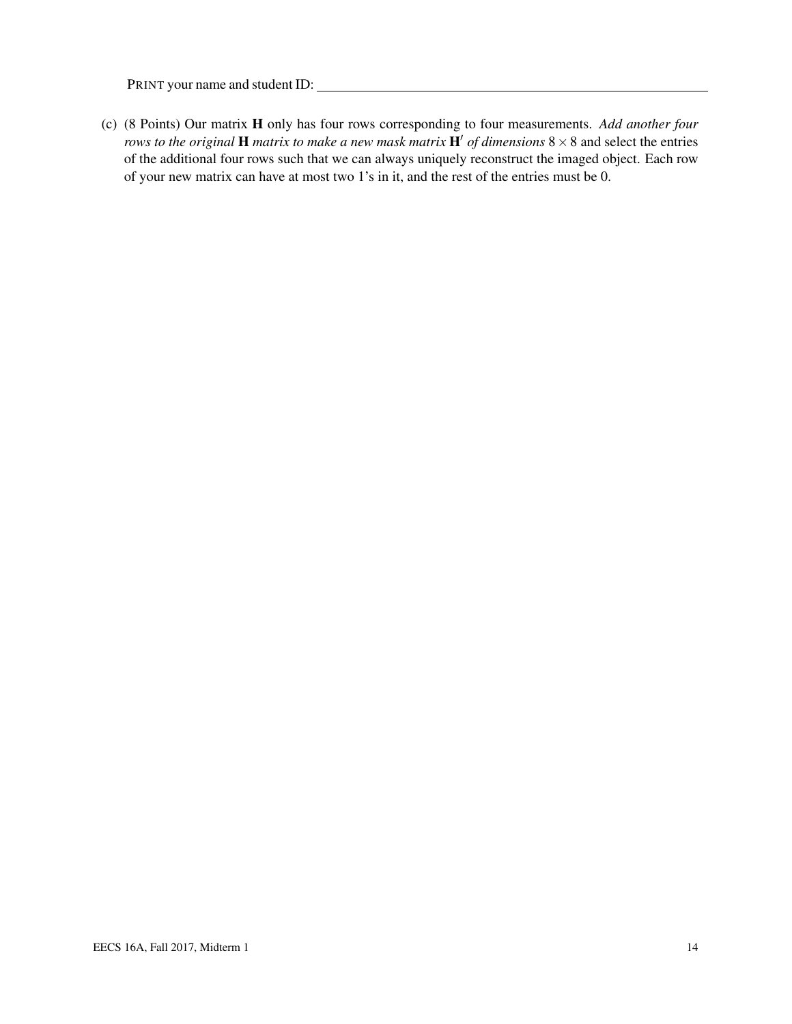(c) (8 Points) Our matrix H only has four rows corresponding to four measurements. *Add another four rows to the original* **H** *matrix to make a new mask matrix*  $\mathbf{H}'$  *of dimensions*  $8 \times 8$  and select the entries of the additional four rows such that we can always uniquely reconstruct the imaged object. Each row of your new matrix can have at most two 1's in it, and the rest of the entries must be 0.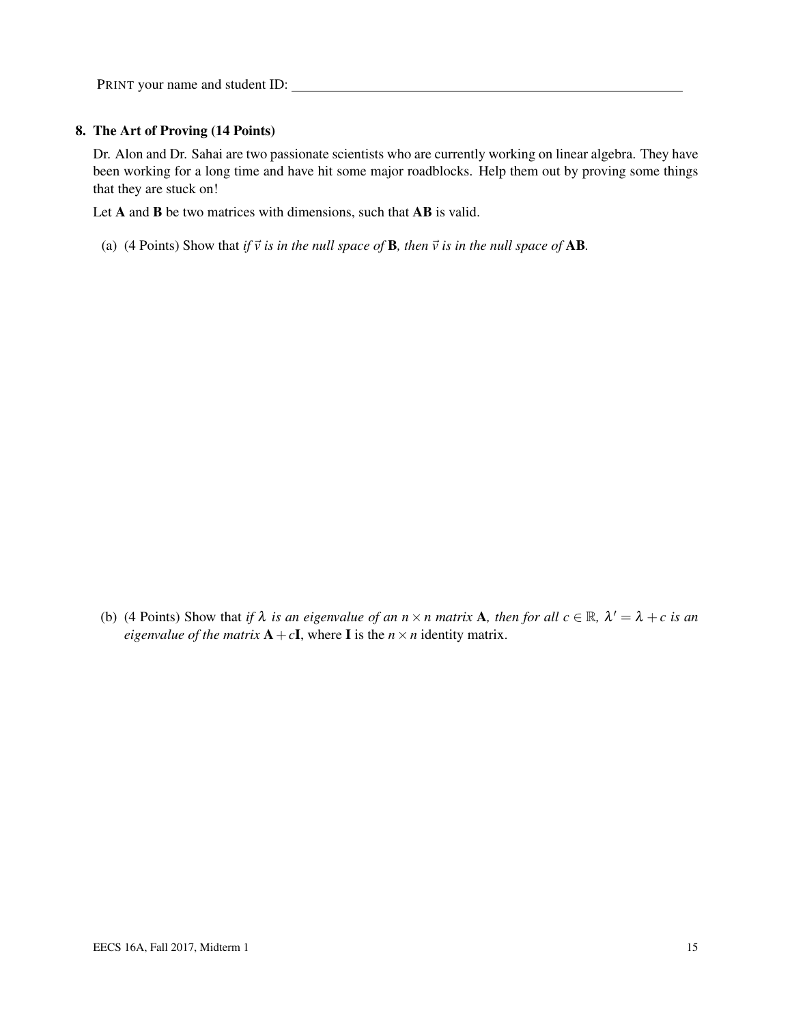#### 8. The Art of Proving (14 Points)

Dr. Alon and Dr. Sahai are two passionate scientists who are currently working on linear algebra. They have been working for a long time and have hit some major roadblocks. Help them out by proving some things that they are stuck on!

Let A and B be two matrices with dimensions, such that AB is valid.

(a) (4 Points) Show that *if*  $\vec{v}$  *is in the null space of* **B***, then*  $\vec{v}$  *is in the null space of* **AB**.

(b) (4 Points) Show that *if*  $\lambda$  *is an eigenvalue of an*  $n \times n$  *matrix* **A**, *then for all*  $c \in \mathbb{R}$ ,  $\lambda' = \lambda + c$  *is an eigenvalue of the matrix*  $A + cI$ , where I is the  $n \times n$  identity matrix.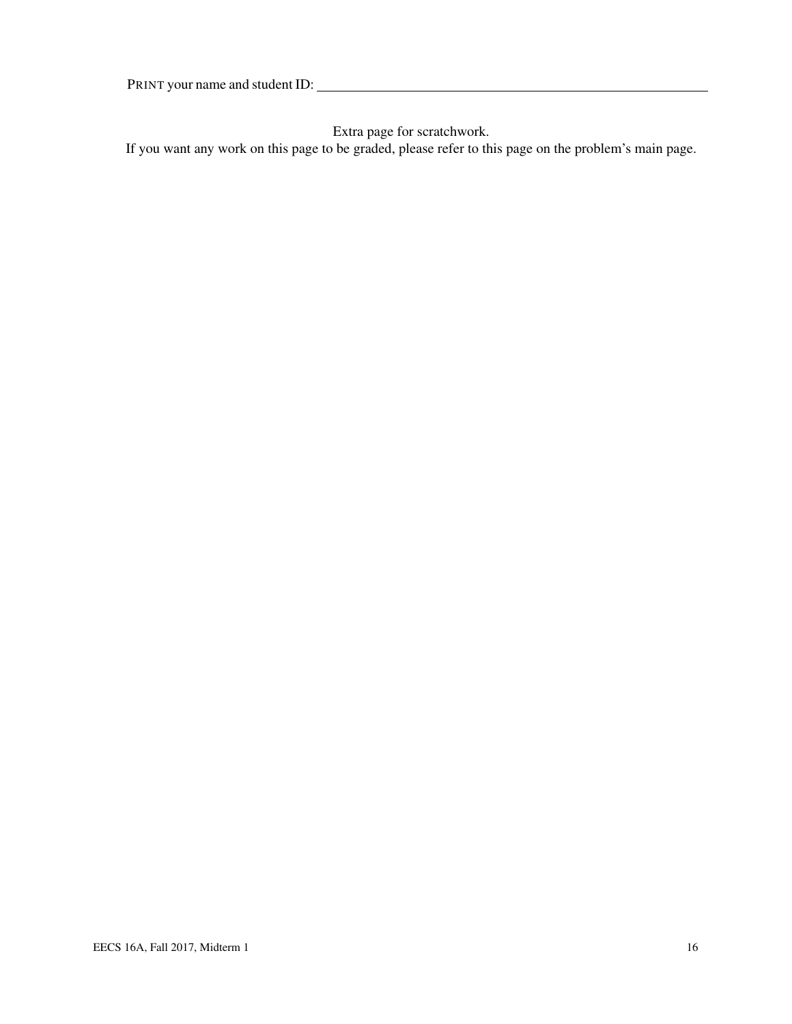Extra page for scratchwork.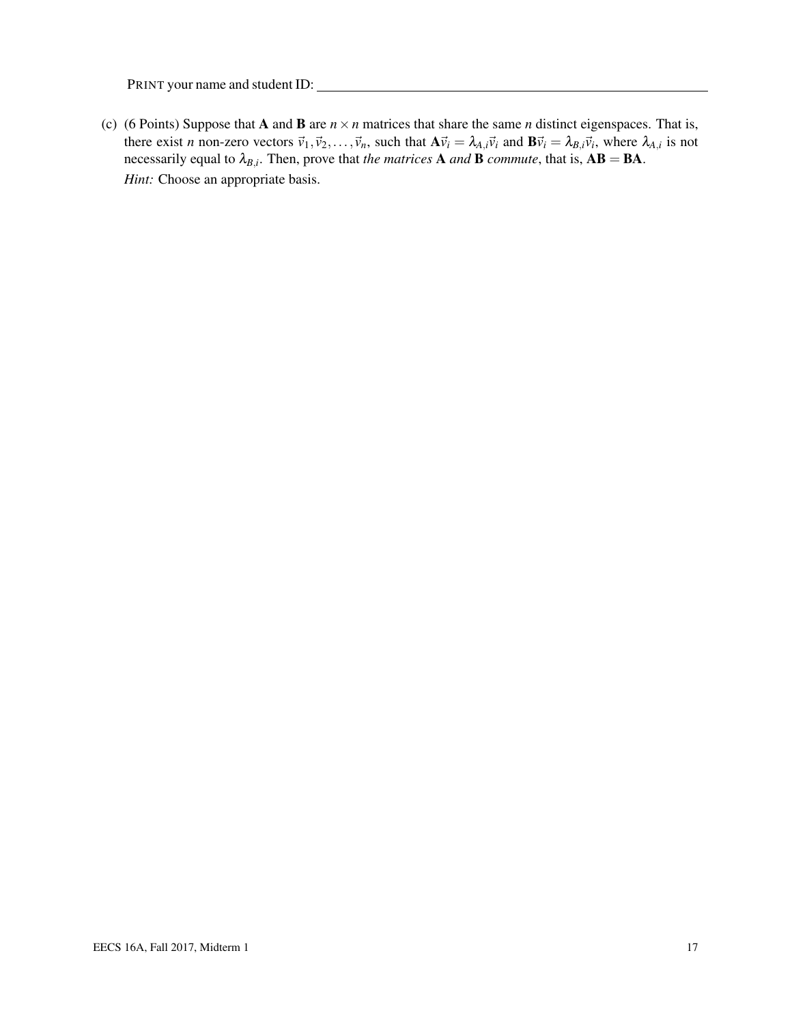(c) (6 Points) Suppose that **A** and **B** are  $n \times n$  matrices that share the same *n* distinct eigenspaces. That is, there exist *n* non-zero vectors  $\vec{v}_1, \vec{v}_2, \dots, \vec{v}_n$ , such that  $A\vec{v}_i = \lambda_{A,i}\vec{v}_i$  and  $B\vec{v}_i = \lambda_{B,i}\vec{v}_i$ , where  $\lambda_{A,i}$  is not necessarily equal to  $\lambda_{B,i}$ . Then, prove that *the matrices* **A** *and* **B** *commute*, that is,  $AB = BA$ . *Hint:* Choose an appropriate basis.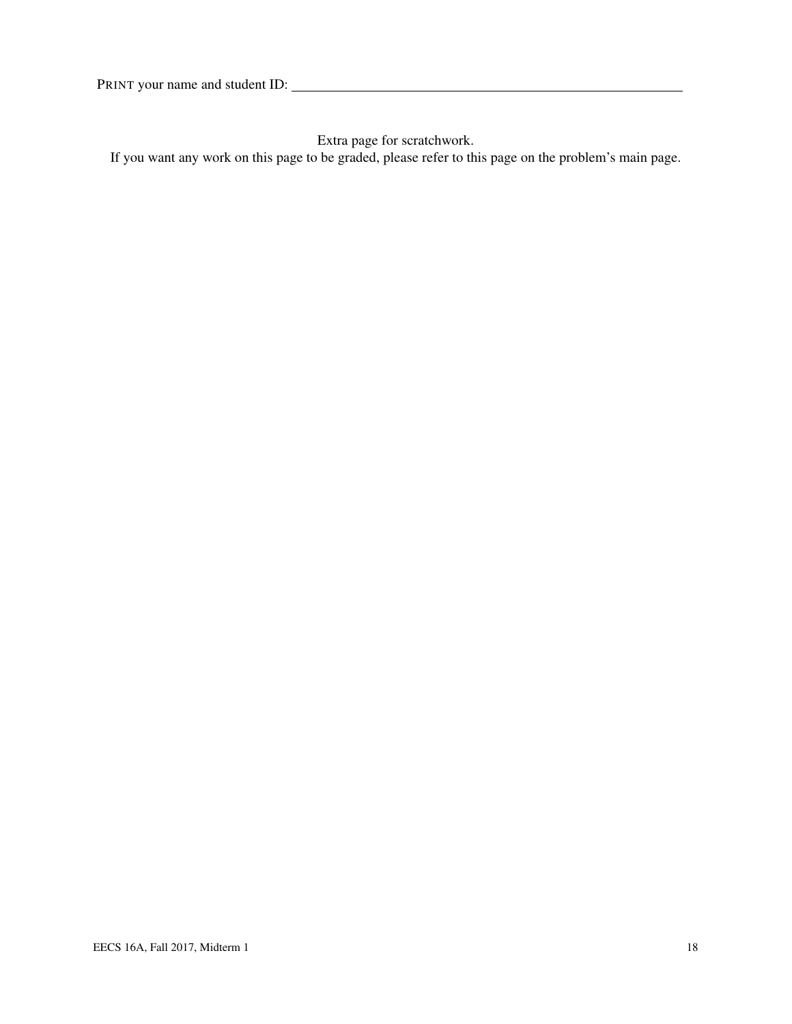Extra page for scratchwork.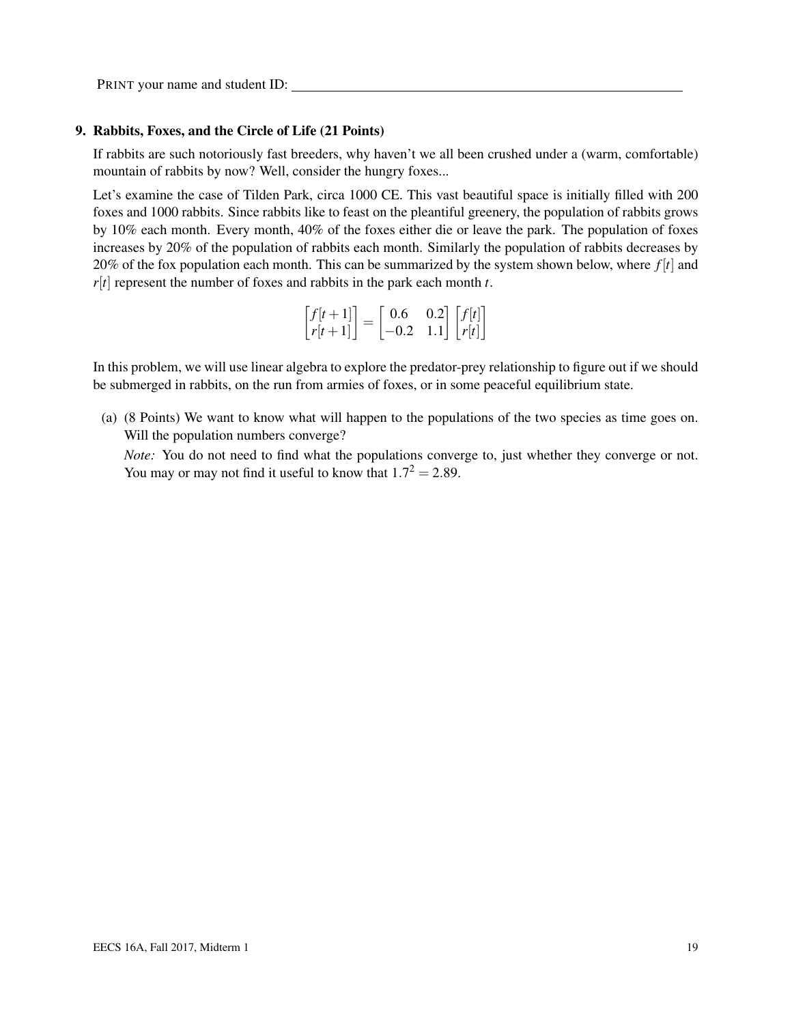#### 9. Rabbits, Foxes, and the Circle of Life (21 Points)

If rabbits are such notoriously fast breeders, why haven't we all been crushed under a (warm, comfortable) mountain of rabbits by now? Well, consider the hungry foxes...

Let's examine the case of Tilden Park, circa 1000 CE. This vast beautiful space is initially filled with 200 foxes and 1000 rabbits. Since rabbits like to feast on the pleantiful greenery, the population of rabbits grows by 10% each month. Every month, 40% of the foxes either die or leave the park. The population of foxes increases by 20% of the population of rabbits each month. Similarly the population of rabbits decreases by 20% of the fox population each month. This can be summarized by the system shown below, where *f* [*t*] and *r*[*t*] represent the number of foxes and rabbits in the park each month *t*.

| $\begin{bmatrix} f[t+1] \\ r[t+1] \end{bmatrix} = \begin{bmatrix} 0.6 & 0.2 \\ -0.2 & 1.1 \end{bmatrix} \begin{bmatrix} f[t] \\ r[t] \end{bmatrix}$ |  |  |
|-----------------------------------------------------------------------------------------------------------------------------------------------------|--|--|

In this problem, we will use linear algebra to explore the predator-prey relationship to figure out if we should be submerged in rabbits, on the run from armies of foxes, or in some peaceful equilibrium state.

(a) (8 Points) We want to know what will happen to the populations of the two species as time goes on. Will the population numbers converge?

*Note:* You do not need to find what the populations converge to, just whether they converge or not. You may or may not find it useful to know that  $1.7^2 = 2.89$ .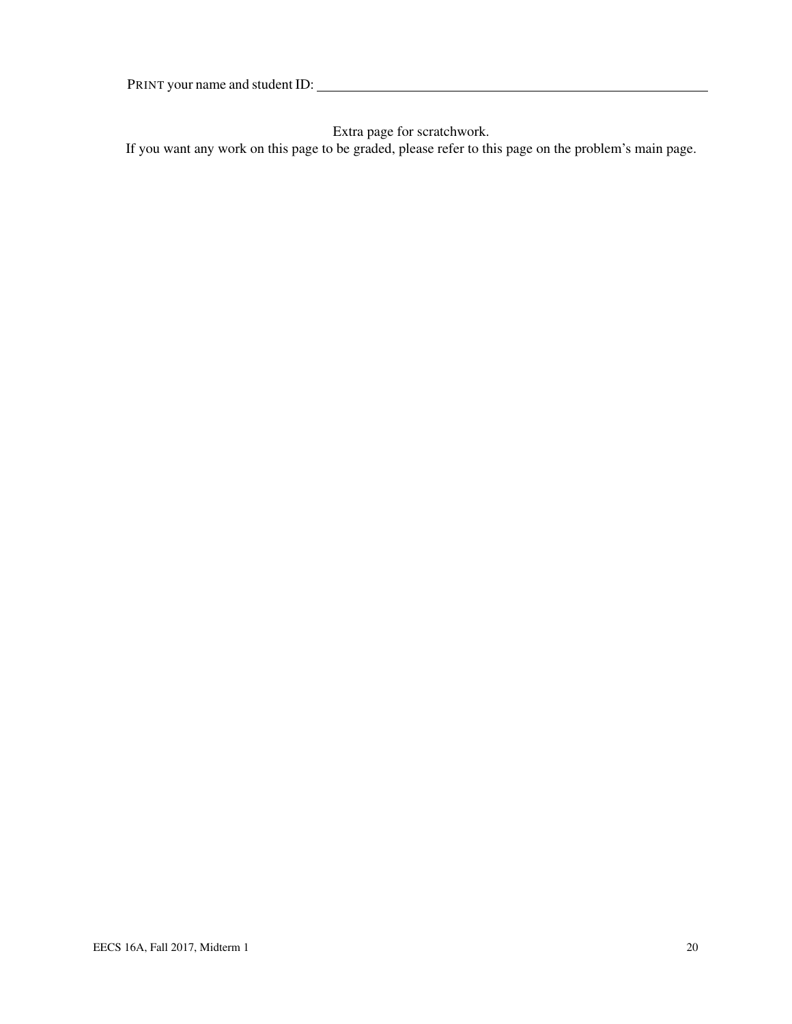Extra page for scratchwork.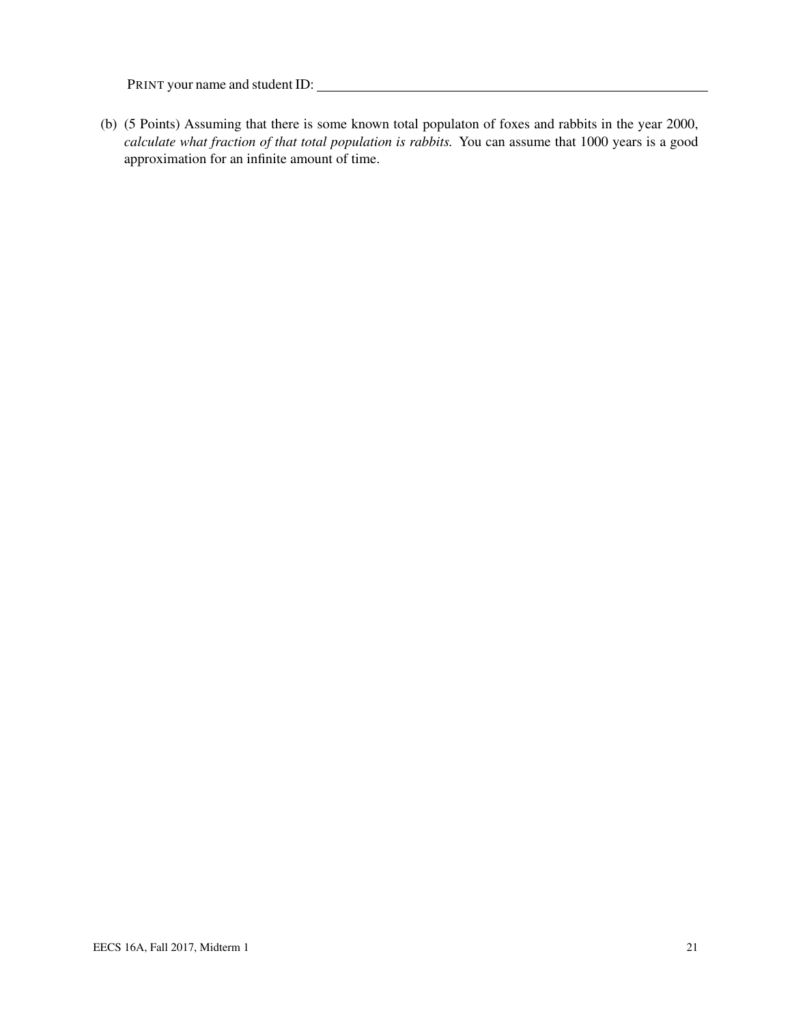(b) (5 Points) Assuming that there is some known total populaton of foxes and rabbits in the year 2000, *calculate what fraction of that total population is rabbits.* You can assume that 1000 years is a good approximation for an infinite amount of time.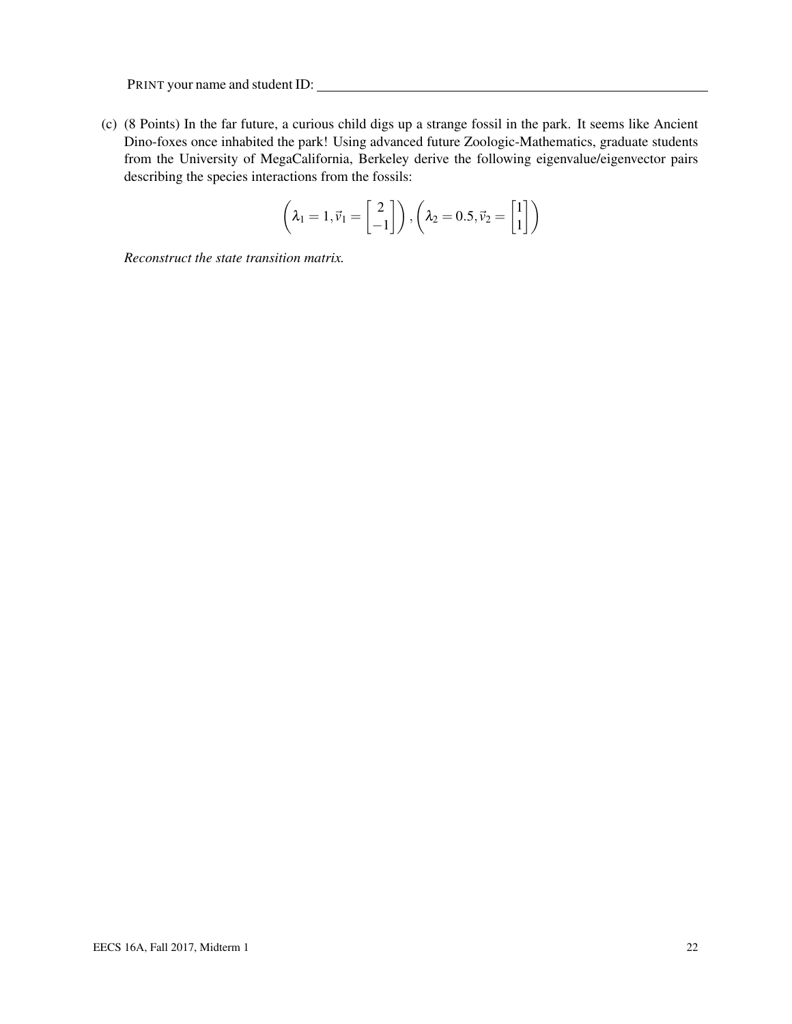(c) (8 Points) In the far future, a curious child digs up a strange fossil in the park. It seems like Ancient Dino-foxes once inhabited the park! Using advanced future Zoologic-Mathematics, graduate students from the University of MegaCalifornia, Berkeley derive the following eigenvalue/eigenvector pairs describing the species interactions from the fossils:

$$
\left(\lambda_1=1, \vec{\nu}_1=\begin{bmatrix}2\\-1\end{bmatrix}\right), \left(\lambda_2=0.5, \vec{\nu}_2=\begin{bmatrix}1\\1\end{bmatrix}\right)
$$

*Reconstruct the state transition matrix.*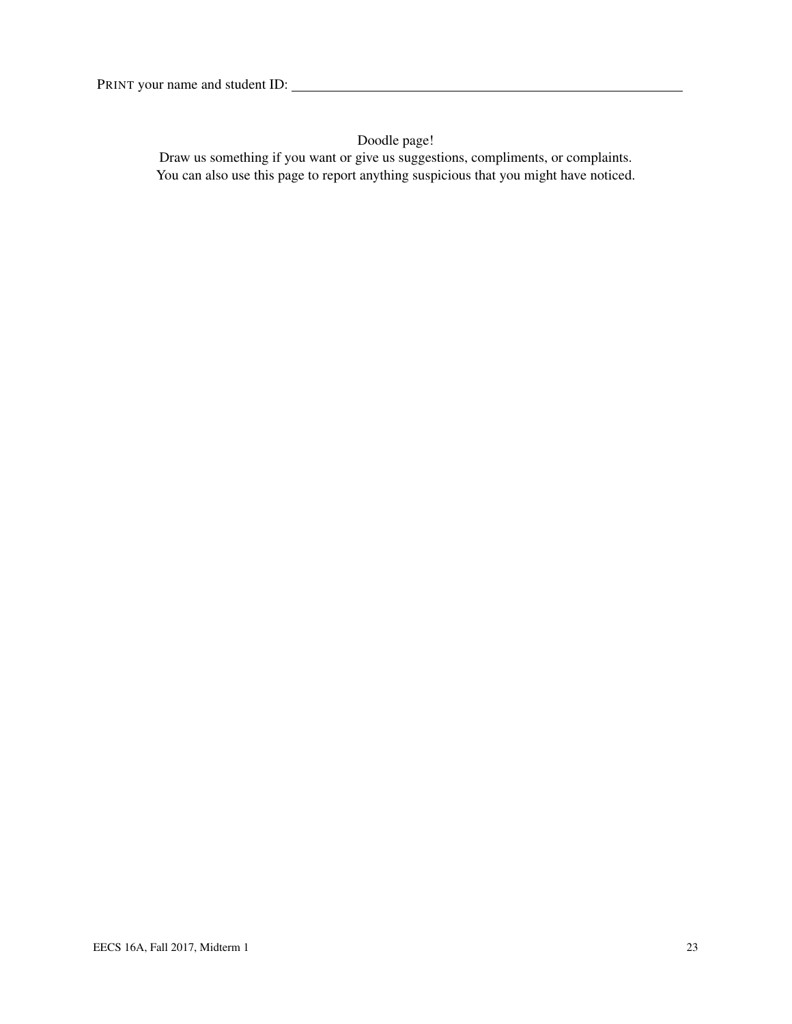Doodle page!

Draw us something if you want or give us suggestions, compliments, or complaints. You can also use this page to report anything suspicious that you might have noticed.